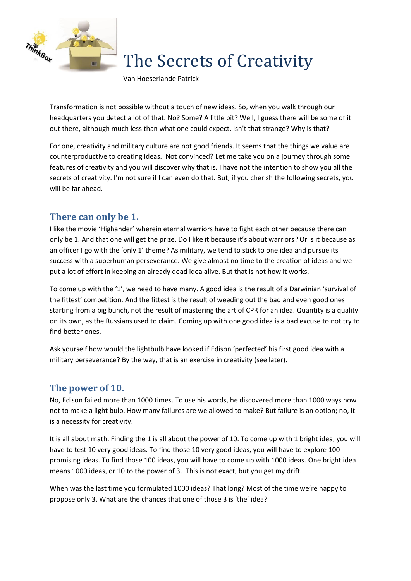

# The Secrets of Creativity

Van Hoeserlande Patrick

Transformation is not possible without a touch of new ideas. So, when you walk through our headquarters you detect a lot of that. No? Some? A little bit? Well, I guess there will be some of it out there, although much less than what one could expect. Isn't that strange? Why is that?

For one, creativity and military culture are not good friends. It seems that the things we value are counterproductive to creating ideas. Not convinced? Let me take you on a journey through some features of creativity and you will discover why that is. I have not the intention to show you all the secrets of creativity. I'm not sure if I can even do that. But, if you cherish the following secrets, you will be far ahead.

# **There can only be 1.**

I like the movie 'Highander' wherein eternal warriors have to fight each other because there can only be 1. And that one will get the prize. Do I like it because it's about warriors? Or is it because as an officer I go with the 'only 1' theme? As military, we tend to stick to one idea and pursue its success with a superhuman perseverance. We give almost no time to the creation of ideas and we put a lot of effort in keeping an already dead idea alive. But that is not how it works.

To come up with the '1', we need to have many. A good idea is the result of a Darwinian 'survival of the fittest' competition. And the fittest is the result of weeding out the bad and even good ones starting from a big bunch, not the result of mastering the art of CPR for an idea. Quantity is a quality on its own, as the Russians used to claim. Coming up with one good idea is a bad excuse to not try to find better ones.

Ask yourself how would the lightbulb have looked if Edison 'perfected' his first good idea with a military perseverance? By the way, that is an exercise in creativity (see later).

### **The power of 10.**

No, Edison failed more than 1000 times. To use his words, he discovered more than 1000 ways how not to make a light bulb. How many failures are we allowed to make? But failure is an option; no, it is a necessity for creativity.

It is all about math. Finding the 1 is all about the power of 10. To come up with 1 bright idea, you will have to test 10 very good ideas. To find those 10 very good ideas, you will have to explore 100 promising ideas. To find those 100 ideas, you will have to come up with 1000 ideas. One bright idea means 1000 ideas, or 10 to the power of 3. This is not exact, but you get my drift.

When was the last time you formulated 1000 ideas? That long? Most of the time we're happy to propose only 3. What are the chances that one of those 3 is 'the' idea?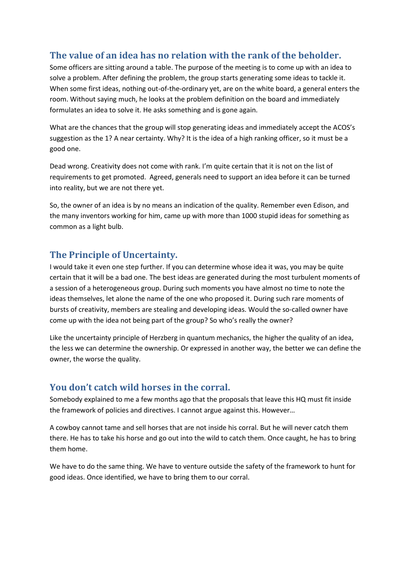# **The value of an idea has no relation with the rank of the beholder.**

Some officers are sitting around a table. The purpose of the meeting is to come up with an idea to solve a problem. After defining the problem, the group starts generating some ideas to tackle it. When some first ideas, nothing out-of-the-ordinary yet, are on the white board, a general enters the room. Without saying much, he looks at the problem definition on the board and immediately formulates an idea to solve it. He asks something and is gone again.

What are the chances that the group will stop generating ideas and immediately accept the ACOS's suggestion as the 1? A near certainty. Why? It is the idea of a high ranking officer, so it must be a good one.

Dead wrong. Creativity does not come with rank. I'm quite certain that it is not on the list of requirements to get promoted. Agreed, generals need to support an idea before it can be turned into reality, but we are not there yet.

So, the owner of an idea is by no means an indication of the quality. Remember even Edison, and the many inventors working for him, came up with more than 1000 stupid ideas for something as common as a light bulb.

#### **The Principle of Uncertainty.**

I would take it even one step further. If you can determine whose idea it was, you may be quite certain that it will be a bad one. The best ideas are generated during the most turbulent moments of a session of a heterogeneous group. During such moments you have almost no time to note the ideas themselves, let alone the name of the one who proposed it. During such rare moments of bursts of creativity, members are stealing and developing ideas. Would the so-called owner have come up with the idea not being part of the group? So who's really the owner?

Like the uncertainty principle of Herzberg in quantum mechanics, the higher the quality of an idea, the less we can determine the ownership. Or expressed in another way, the better we can define the owner, the worse the quality.

### **You don't catch wild horses in the corral.**

Somebody explained to me a few months ago that the proposals that leave this HQ must fit inside the framework of policies and directives. I cannot argue against this. However…

A cowboy cannot tame and sell horses that are not inside his corral. But he will never catch them there. He has to take his horse and go out into the wild to catch them. Once caught, he has to bring them home.

We have to do the same thing. We have to venture outside the safety of the framework to hunt for good ideas. Once identified, we have to bring them to our corral.